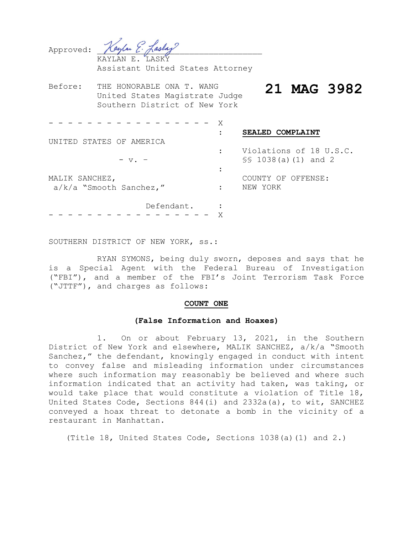| Approved:              | KAYLAN E. LASKY<br>Assistant United States Attorney                                          |         |                                                  |  |             |
|------------------------|----------------------------------------------------------------------------------------------|---------|--------------------------------------------------|--|-------------|
| Before:                | THE HONORABLE ONA T. WANG<br>United States Magistrate Judge<br>Southern District of New York |         |                                                  |  | 21 MAG 3982 |
|                        |                                                                                              | Χ       | SEALED COMPLAINT                                 |  |             |
| ITED STATES OF AMERICA |                                                                                              |         |                                                  |  |             |
|                        | $- v.$                                                                                       | $\cdot$ | Violations of 18 U.S.C.<br>\$\$ 1038(a)(1) and 2 |  |             |
| MALIK SANCHEZ,         |                                                                                              |         | COUNTY OF OFFENSE:                               |  |             |
|                        | $a/k/a$ "Smooth Sanchez,"                                                                    |         | NEW YORK                                         |  |             |
|                        | Defendant.                                                                                   | X       |                                                  |  |             |

SOUTHERN DISTRICT OF NEW YORK, ss.:

RYAN SYMONS, being duly sworn, deposes and says that he is a Special Agent with the Federal Bureau of Investigation ("FBI"), and a member of the FBI's Joint Terrorism Task Force ("JTTF"), and charges as follows:

## **COUNT ONE**

## **(False Information and Hoaxes)**

1. On or about February 13, 2021, in the Southern District of New York and elsewhere, MALIK SANCHEZ, a/k/a "Smooth Sanchez," the defendant, knowingly engaged in conduct with intent to convey false and misleading information under circumstances where such information may reasonably be believed and where such information indicated that an activity had taken, was taking, or would take place that would constitute a violation of Title 18, United States Code, Sections 844(i) and 2332a(a), to wit, SANCHEZ conveyed a hoax threat to detonate a bomb in the vicinity of a restaurant in Manhattan.

(Title 18, United States Code, Sections 1038(a)(1) and 2.)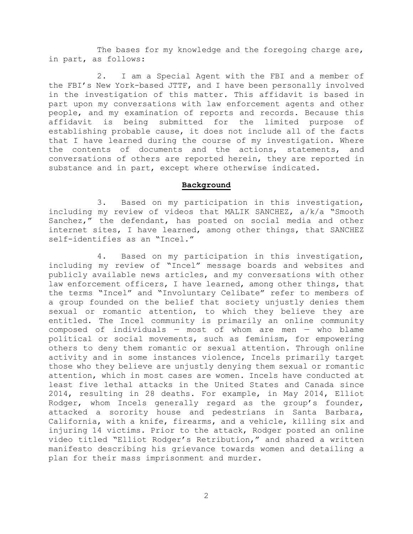The bases for my knowledge and the foregoing charge are, in part, as follows:

2. I am a Special Agent with the FBI and a member of the FBI's New York-based JTTF, and I have been personally involved in the investigation of this matter. This affidavit is based in part upon my conversations with law enforcement agents and other people, and my examination of reports and records. Because this affidavit is being submitted for the limited purpose of establishing probable cause, it does not include all of the facts that I have learned during the course of my investigation. Where the contents of documents and the actions, statements, and conversations of others are reported herein, they are reported in substance and in part, except where otherwise indicated.

## **Background**

3. Based on my participation in this investigation, including my review of videos that MALIK SANCHEZ, a/k/a "Smooth Sanchez," the defendant, has posted on social media and other internet sites, I have learned, among other things, that SANCHEZ self-identifies as an "Incel."

4. Based on my participation in this investigation, including my review of "Incel" message boards and websites and publicly available news articles, and my conversations with other law enforcement officers, I have learned, among other things, that the terms "Incel" and "Involuntary Celibate" refer to members of a group founded on the belief that society unjustly denies them sexual or romantic attention, to which they believe they are entitled. The Incel community is primarily an online community composed of individuals  $-$  most of whom are men  $-$  who blame political or social movements, such as feminism, for empowering others to deny them romantic or sexual attention. Through online activity and in some instances violence, Incels primarily target those who they believe are unjustly denying them sexual or romantic attention, which in most cases are women. Incels have conducted at least five lethal attacks in the United States and Canada since 2014, resulting in 28 deaths. For example, in May 2014, Elliot Rodger, whom Incels generally regard as the group's founder, attacked a sorority house and pedestrians in Santa Barbara, California, with a knife, firearms, and a vehicle, killing six and injuring 14 victims. Prior to the attack, Rodger posted an online video titled "Elliot Rodger's Retribution," and shared a written manifesto describing his grievance towards women and detailing a plan for their mass imprisonment and murder.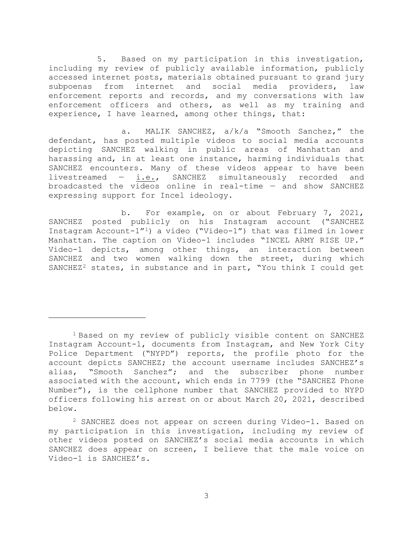5. Based on my participation in this investigation, including my review of publicly available information, publicly accessed internet posts, materials obtained pursuant to grand jury subpoenas from internet and social media providers, law enforcement reports and records, and my conversations with law enforcement officers and others, as well as my training and experience, I have learned, among other things, that:

a. MALIK SANCHEZ, a/k/a "Smooth Sanchez," the defendant, has posted multiple videos to social media accounts depicting SANCHEZ walking in public areas of Manhattan and harassing and, in at least one instance, harming individuals that SANCHEZ encounters. Many of these videos appear to have been livestreamed — i.e., SANCHEZ simultaneously recorded and broadcasted the videos online in real-time — and show SANCHEZ expressing support for Incel ideology.

b. For example, on or about February 7, 2021, SANCHEZ posted publicly on his Instagram account ("SANCHEZ Instagram Account-1"1) a video ("Video-1") that was filmed in lower Manhattan. The caption on Video-1 includes "INCEL ARMY RISE UP." Video-1 depicts, among other things, an interaction between SANCHEZ and two women walking down the street, during which SANCHEZ<sup>2</sup> states, in substance and in part, "You think I could get

<sup>1</sup> Based on my review of publicly visible content on SANCHEZ Instagram Account-1, documents from Instagram, and New York City Police Department ("NYPD") reports, the profile photo for the account depicts SANCHEZ; the account username includes SANCHEZ's alias, "Smooth Sanchez"; and the subscriber phone number associated with the account, which ends in 7799 (the "SANCHEZ Phone Number"), is the cellphone number that SANCHEZ provided to NYPD officers following his arrest on or about March 20, 2021, described below.

<sup>2</sup> SANCHEZ does not appear on screen during Video-1. Based on my participation in this investigation, including my review of other videos posted on SANCHEZ's social media accounts in which SANCHEZ does appear on screen, I believe that the male voice on Video-1 is SANCHEZ's.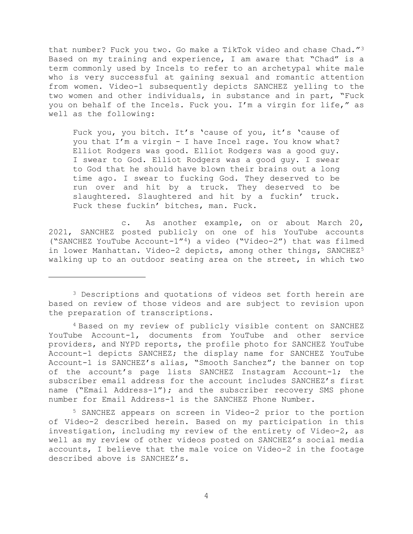that number? Fuck you two. Go make a TikTok video and chase Chad."<sup>3</sup> Based on my training and experience, I am aware that "Chad" is a term commonly used by Incels to refer to an archetypal white male who is very successful at gaining sexual and romantic attention from women. Video-1 subsequently depicts SANCHEZ yelling to the two women and other individuals, in substance and in part, "Fuck you on behalf of the Incels. Fuck you. I'm a virgin for life," as well as the following:

Fuck you, you bitch. It's 'cause of you, it's 'cause of you that I'm a virgin - I have Incel rage. You know what? Elliot Rodgers was good. Elliot Rodgers was a good guy. I swear to God. Elliot Rodgers was a good guy. I swear to God that he should have blown their brains out a long time ago. I swear to fucking God. They deserved to be run over and hit by a truck. They deserved to be slaughtered. Slaughtered and hit by a fuckin' truck. Fuck these fuckin' bitches, man. Fuck.

c. As another example, on or about March 20, 2021, SANCHEZ posted publicly on one of his YouTube accounts ("SANCHEZ YouTube Account-1"4) a video ("Video-2") that was filmed in lower Manhattan. Video-2 depicts, among other things, SANCHEZ<sup>5</sup> walking up to an outdoor seating area on the street, in which two

<sup>3</sup> Descriptions and quotations of videos set forth herein are based on review of those videos and are subject to revision upon the preparation of transcriptions.

<sup>4</sup> Based on my review of publicly visible content on SANCHEZ YouTube Account-1, documents from YouTube and other service providers, and NYPD reports, the profile photo for SANCHEZ YouTube Account-1 depicts SANCHEZ; the display name for SANCHEZ YouTube Account-1 is SANCHEZ's alias, "Smooth Sanchez"; the banner on top of the account's page lists SANCHEZ Instagram Account-1; the subscriber email address for the account includes SANCHEZ's first name ("Email Address-1"); and the subscriber recovery SMS phone number for Email Address-1 is the SANCHEZ Phone Number.

<sup>5</sup> SANCHEZ appears on screen in Video-2 prior to the portion of Video-2 described herein. Based on my participation in this investigation, including my review of the entirety of Video-2, as well as my review of other videos posted on SANCHEZ's social media accounts, I believe that the male voice on Video-2 in the footage described above is SANCHEZ's.

4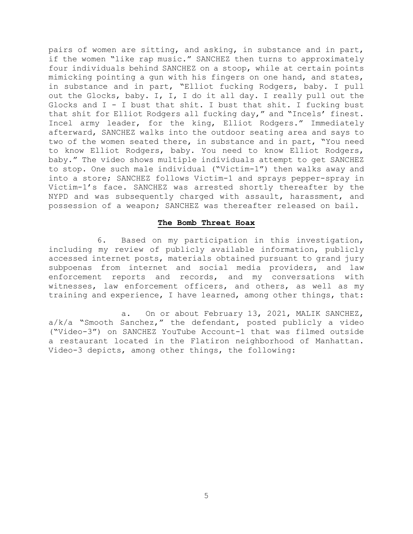pairs of women are sitting, and asking, in substance and in part, if the women "like rap music." SANCHEZ then turns to approximately four individuals behind SANCHEZ on a stoop, while at certain points mimicking pointing a gun with his fingers on one hand, and states, in substance and in part, "Elliot fucking Rodgers, baby. I pull out the Glocks, baby. I, I, I do it all day. I really pull out the Glocks and  $I - I$  bust that shit. I bust that shit. I fucking bust that shit for Elliot Rodgers all fucking day," and "Incels' finest. Incel army leader, for the king, Elliot Rodgers." Immediately afterward, SANCHEZ walks into the outdoor seating area and says to two of the women seated there, in substance and in part, "You need to know Elliot Rodgers, baby. You need to know Elliot Rodgers, baby." The video shows multiple individuals attempt to get SANCHEZ to stop. One such male individual ("Victim-1") then walks away and into a store; SANCHEZ follows Victim-1 and sprays pepper-spray in Victim-1's face. SANCHEZ was arrested shortly thereafter by the NYPD and was subsequently charged with assault, harassment, and possession of a weapon; SANCHEZ was thereafter released on bail.

## **The Bomb Threat Hoax**

6. Based on my participation in this investigation, including my review of publicly available information, publicly accessed internet posts, materials obtained pursuant to grand jury subpoenas from internet and social media providers, and law enforcement reports and records, and my conversations with witnesses, law enforcement officers, and others, as well as my training and experience, I have learned, among other things, that:

a. On or about February 13, 2021, MALIK SANCHEZ, a/k/a "Smooth Sanchez," the defendant, posted publicly a video ("Video-3") on SANCHEZ YouTube Account-1 that was filmed outside a restaurant located in the Flatiron neighborhood of Manhattan. Video-3 depicts, among other things, the following:

5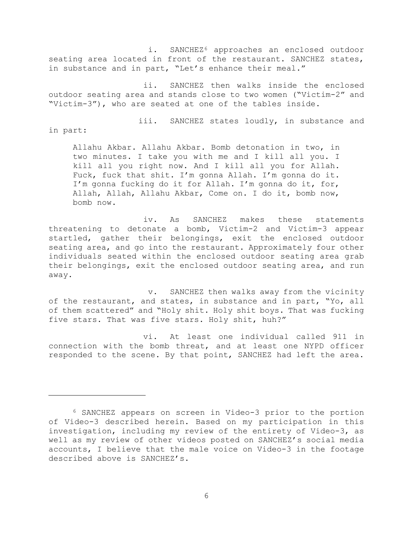i. SANCHEZ<sup>6</sup> approaches an enclosed outdoor seating area located in front of the restaurant. SANCHEZ states, in substance and in part, "Let's enhance their meal."

ii. SANCHEZ then walks inside the enclosed outdoor seating area and stands close to two women ("Victim-2" and "Victim-3"), who are seated at one of the tables inside.

iii. SANCHEZ states loudly, in substance and

in part:

Allahu Akbar. Allahu Akbar. Bomb detonation in two, in two minutes. I take you with me and I kill all you. I kill all you right now. And I kill all you for Allah. Fuck, fuck that shit. I'm gonna Allah. I'm gonna do it. I'm gonna fucking do it for Allah. I'm gonna do it, for, Allah, Allah, Allahu Akbar, Come on. I do it, bomb now, bomb now.

iv. As SANCHEZ makes these statements threatening to detonate a bomb, Victim-2 and Victim-3 appear startled, gather their belongings, exit the enclosed outdoor seating area, and go into the restaurant. Approximately four other individuals seated within the enclosed outdoor seating area grab their belongings, exit the enclosed outdoor seating area, and run away.

v. SANCHEZ then walks away from the vicinity of the restaurant, and states, in substance and in part, "Yo, all of them scattered" and "Holy shit. Holy shit boys. That was fucking five stars. That was five stars. Holy shit, huh?"

vi. At least one individual called 911 in connection with the bomb threat, and at least one NYPD officer responded to the scene. By that point, SANCHEZ had left the area.

<sup>6</sup> SANCHEZ appears on screen in Video-3 prior to the portion of Video-3 described herein. Based on my participation in this investigation, including my review of the entirety of Video-3, as well as my review of other videos posted on SANCHEZ's social media accounts, I believe that the male voice on Video-3 in the footage described above is SANCHEZ's.